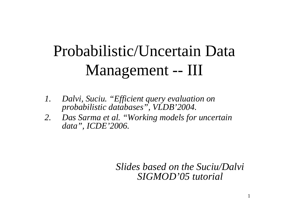# Probabilistic/Uncertain Data Management -- III

- *1. Dalvi, Suciu. "Efficient query evaluation on probabilistic databases", VLDB'2004.*
- *2. Das Sarma et al. "Working models for uncertain data", ICDE'2006.*

*Slides based on the Suciu/Dalvi SIGMOD'05 tutorial*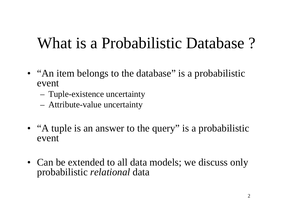## What is <sup>a</sup> Probabilistic Database ?

- "An item belongs to the database" is a probabilistic event
	- Tuple-existence uncertainty
	- Attribute-value uncertainty
- "A tuple is an answer to the query" is a probabilistic event
- Can be extended to all data models; we discuss only probabilistic *relational* data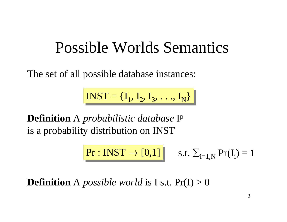#### Possible Worlds Semantics

The set of all possible database instances:

 $$ 

**Definition** A *probabilistic database* Ip is a probability distribution on INST

$$
\boxed{\text{Pr}: \text{INST} \rightarrow [0,1]} \quad \text{s.t.} \ \Sigma_{i=1,N} \ \text{Pr}(I_i) = 1
$$

**Definition** A *possible world* is I s.t. Pr(I) <sup>&</sup>gt; 0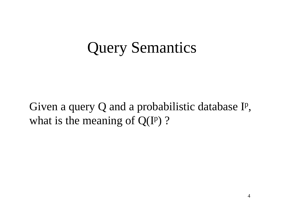#### Query Semantics

Given <sup>a</sup> query Q and <sup>a</sup> probabilistic database Ip, what is the meaning of  $Q(I^p)$  ?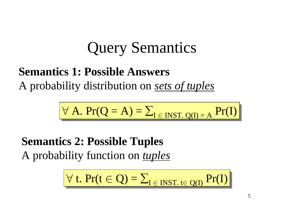## Query Semantics

#### **Semantics 1: Possible Answers** A probability distribution on *sets of tuples*

$$
\forall A. \; Pr(Q = A) = \sum_{I \in \text{INT. Q(I)} = A} Pr(I)
$$

**Semantics 2: Possible Tuples** A probability function on *tuples*

$$
\forall t. \; Pr(t \in Q) = \sum_{I \in INST. \; t \in Q(I)} Pr(I)
$$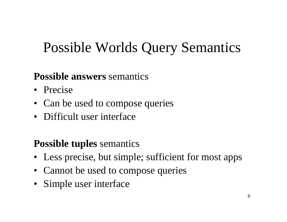#### Possible Worlds Query Semantics

#### **Possible answers** semantics

- Precise
- Can be used to compose queries
- Difficult user interface

#### **Possible tuples** semantics

- Less precise, but simple; sufficient for most apps
- Cannot be used to compose queries
- Simple user interface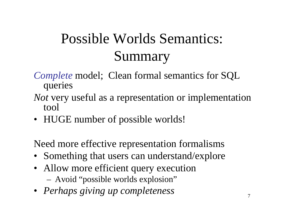#### Possible Worlds Semantics: Summary

#### *Complete* model; Clean formal semantics for SQL queries

- *Not* very useful as <sup>a</sup> representation or implementation tool
- HUGE number of possible worlds!

Need more effective representation formalisms

- Something that users can understand/explore
- Allow more efficient query execution Avoid "possible worlds explosion"
- *Perhaps giving up completeness*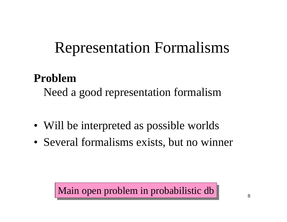## Representation Formalisms

#### **Problem**

Need <sup>a</sup> good representation formalism

- Will be interpreted as possible worlds
- Several formalisms exists, but no winner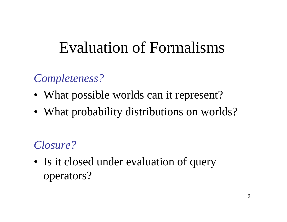### Evaluation of Formalisms

#### *Completeness?*

- What possible worlds can it represent?
- What probability distributions on worlds?

#### *Closure?*

• Is it closed under evaluation of query operators?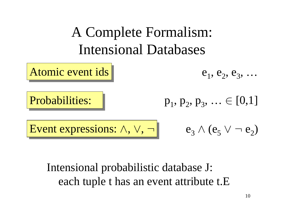

#### Intensional probabilistic database J: each tuple <sup>t</sup> has an event attribute t.E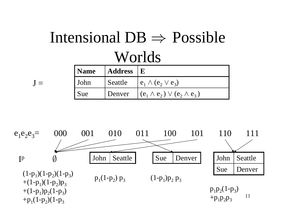# Intensional  $DB \Rightarrow$  Possible Worlds

 ${\rm J} =$ 

| Name | $\vert$ Address $\vert$ E |                                                  |
|------|---------------------------|--------------------------------------------------|
| John |                           | Seattle $\mid e_1 \wedge (e_2 \vee e_3) \rangle$ |
| Sue  | Denver                    | $(c_1 \wedge e_2) \vee (e_2 \wedge e_3)$         |

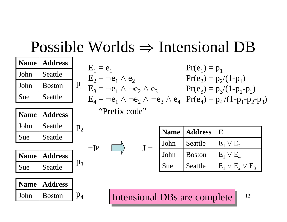#### Possible Worlds  $\Rightarrow$  Intensional DB

| <b>Name</b> | <b>Address</b> |                |             |                                           |               |             | $Pr(e_1) = p_1$              |                                                                                             |
|-------------|----------------|----------------|-------------|-------------------------------------------|---------------|-------------|------------------------------|---------------------------------------------------------------------------------------------|
| John        | Seattle        |                | $E_1 = e_1$ | $E_2 = \neg e_1 \wedge e_2$               |               |             |                              | $Pr(e_2) = p_2/(1-p_1)$                                                                     |
| John        | <b>Boston</b>  |                |             | $P_1$ $E_3 = -e_1 \wedge -e_2 \wedge e_3$ |               |             |                              | $Pr(e_3) = p_3/(1-p_1-p_2)$                                                                 |
| Sue         | Seattle        |                |             |                                           |               |             |                              | $E_4 = \neg e_1 \wedge \neg e_2 \wedge \neg e_3 \wedge e_4$ $Pr(e_4) = p_4/(1-p_1-p_2-p_3)$ |
| <b>Name</b> | <b>Address</b> |                |             | "Prefix code"                             |               |             |                              |                                                                                             |
| John        | Seattle        | p <sub>2</sub> |             |                                           |               | <b>Name</b> | <b>Address</b>               | ${\bf E}$                                                                                   |
| Sue         | Seattle        |                |             |                                           |               |             |                              |                                                                                             |
|             |                |                | $=$ [ $p$ ] |                                           | ${\bf J}$ $=$ | John        | Seattle                      | $E_1 \vee E_2$                                                                              |
| <b>Name</b> | <b>Address</b> |                |             |                                           |               | John        | <b>Boston</b>                | $E_1 \vee E_4$                                                                              |
| Sue         | Seattle        | $p_3$          |             |                                           |               | Sue         | Seattle                      | $E_1 \vee E_2 \vee E_3$                                                                     |
| <b>Name</b> | <b>Address</b> |                |             |                                           |               |             |                              |                                                                                             |
| John        | <b>Boston</b>  | $p_4$          |             |                                           |               |             | Intensional DBs are complete | 12                                                                                          |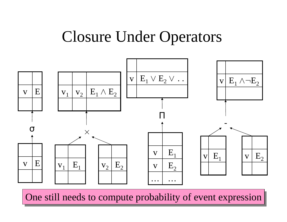#### Closure Under Operators



 $\overline{C}$ One still needs to compute probability of event expression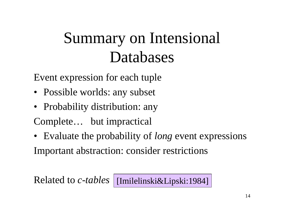## Summary on Intensional Databases

Event expression for each tuple

- Possible worlds: any subset
- Probability distribution: any

Complete… but impractical

• Evaluate the probability of *long* event expressions

Important abstraction: consider restrictions

Related to *c-tables* [Imilelinski&Lipski:1984]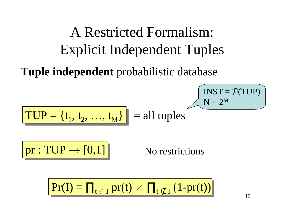#### A Restricted Formalism: Explicit Independent Tuples

**Tuple independent** probabilistic database

$$
TUP = \{t_1, t_2, ..., t_M\} = \text{all tuples}
$$

 $pr: TUP \rightarrow [0,1]$  No restrictions

$$
Pr(I) = \prod_{t \in I} pr(t) \times \prod_{t \notin I} (1-pr(t))
$$

 $\mathrm{INST} = \mathcal{P}(\mathrm{TUP})$ 

 $\mathrm{N}=2^\mathrm{M}$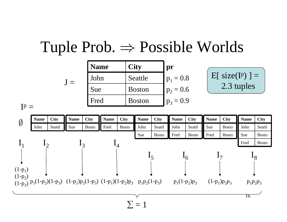#### Tuple Prob.  $\Rightarrow$  Possible Worlds

| <b>Name</b> | <b>City</b>   | pr          |
|-------------|---------------|-------------|
| John        | Seattle       | $p_1 = 0.8$ |
| Sue         | <b>Boston</b> | $p_2 = 0.6$ |
| Fred        | <b>Boston</b> | $p_3 = 0.9$ |

$$
\fbox{E[ size(Ip)] =}
$$
  
2.3 tuples

 $I^p =$ 

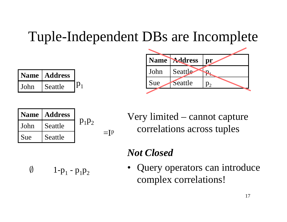#### Tuple-Independent DBs are Incomplete

| <b>Name</b> | <b>Address</b> |  |
|-------------|----------------|--|
| John        | Seattle        |  |



|        | Name   Address |          |                          |
|--------|----------------|----------|--------------------------|
| l John | Seattle        | $p_1p_2$ |                          |
| I Sue  | Seattle        |          | $\overline{\phantom{0}}$ |

Very limited – cannot capture correlations across tuples

#### *Not Closed*

 $\emptyset$  1-p<sub>1</sub> - p<sub>1</sub>p<sub>2</sub>

• Query operators can introduce complex correlations!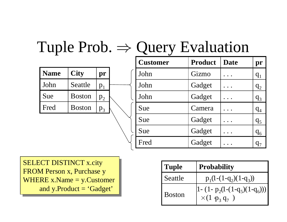| <b>Name</b> | <b>City</b>   | pr      |  |
|-------------|---------------|---------|--|
| John        | Seattle       | $p_{1}$ |  |
| Sue         | <b>Boston</b> | $p_2$   |  |
| Fred        | <b>Boston</b> |         |  |

| <b>Customer</b> | <b>Product</b> | <b>Date</b> | pr                         |
|-----------------|----------------|-------------|----------------------------|
| John            | Gizmo          |             | $q_1$                      |
| John            | Gadget         |             | q <sub>2</sub>             |
| John            | Gadget         |             | $q_3$                      |
| Sue             | Camera         |             | q <sub>4</sub>             |
| Sue             | Gadget         |             | q <sub>5</sub>             |
| Sue             | Gadget         |             | $q_6$                      |
| Fred            | Gadget         |             | $\mathsf{q}_\mathsf{\tau}$ |

SELECT DISTINCT x.city SELECT DISTINCT x.city FROM Person x, Purchase y FROM Person x, Purchase y WHERE x.Name <sup>=</sup> y.Customer WHERE x.Name <sup>=</sup> y.Customer and y.Product <sup>=</sup> 'Gadget' and y.Product <sup>=</sup> 'Gadget' Boston

| <b>Tuple</b>  | <b>Probability</b>                                                             |  |
|---------------|--------------------------------------------------------------------------------|--|
| Seattle       | $p_1(1-(1-q_2)(1-q_3))$                                                        |  |
| <b>Boston</b> | $\left 1 - (1-p_2(1-(1-q_5)(1-q_6)))\right $<br>$\times (1 \frac{1}{p_3} q_7)$ |  |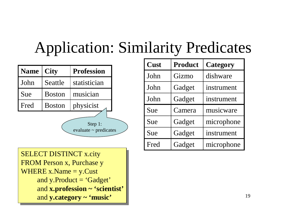#### A p p lication: Similarity Predicates

| Name | <b>City</b>   | <b>Profession</b>                     |  |
|------|---------------|---------------------------------------|--|
| John | Seattle       | statistician                          |  |
| Sue  | <b>Boston</b> | musician                              |  |
| Fred | <b>Boston</b> | physicist                             |  |
|      |               | Step 1:<br>evaluate $\sim$ predicates |  |

| Cust | <b>Product</b> | <b>Category</b> |
|------|----------------|-----------------|
| John | Gizmo          | dishware        |
| John | Gadget         | instrument      |
| John | Gadget         | instrument      |
| Sue  | Camera         | musicware       |
| Sue  | Gadget         | microphone      |
| Sue  | Gadget         | instrument      |
| Fred | Gadget         | microphone      |

SELECT DISTINCT X.CIty FROMPersonx, P urchasey WHERE  $x$ . Name  $=$  y. Cust and y.Product = 'Gadget' and **x.profession** ~ **'scientist'** and y.category ~ 'music' SELECT DISTINCT x.city FROM Person x, Purchase y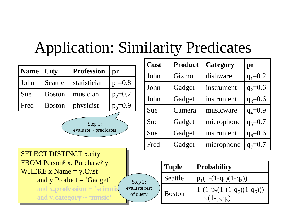#### A p p lication: Similarity Predicates

Ste p 2: evaluate rest o f q u e r y

| <b>Name</b> | <b>City</b>   | <b>Profession</b> | pr          |
|-------------|---------------|-------------------|-------------|
| John        | Seattle       | statistician      | $p_1 = 0.8$ |
| Sue         | <b>Boston</b> | musician          | $p_2 = 0.2$ |
| Fred        | <b>Boston</b> | physicist         | $p_3 = 0.9$ |
|             |               | Step 1:           |             |

evaluate ~ predicates

| Cust | <b>Product</b> | <b>Category</b> | pr          |
|------|----------------|-----------------|-------------|
| John | Gizmo          | dishware        | $q_1 = 0.2$ |
| John | Gadget         | instrument      | $q_2 = 0.6$ |
| John | Gadget         | instrument      | $q_3 = 0.6$ |
| Sue  | Camera         | musicware       | $q_4 = 0.9$ |
| Sue  | Gadget         | microphone      | $q_5 = 0.7$ |
| Sue  | Gadget         | instrument      | $q_6 = 0.6$ |
| Fred | Gadget         | microphone      | $q_7 = 0.7$ |

SELECT DISTINCT X.CIty 'KUM Person<sup>e</sup> x, Purchase<sup>p</sup> y WHERE  $x$ . Name  $=$  y. Cust and y.Product = 'Gadget' and  $\bold{x}.\bold{profession} \sim \text{'scientis}$  $\sqrt{2}$ and y.category ~ 'music' SELECT DISTINCT x.city FROM Person<sup>p</sup> x, Purchase<sup>p</sup> y

| <b>Tuple</b>  | <b>Probability</b>                                                           |  |  |
|---------------|------------------------------------------------------------------------------|--|--|
| Seattle       | $p_1(1-(1-q_2)(1-q_3))$                                                      |  |  |
| <b>Boston</b> | $1-(1-p_2(1-(1-q_5)(1-q_6)))$<br>$\times$ (1-p <sub>3</sub> q <sub>7</sub> ) |  |  |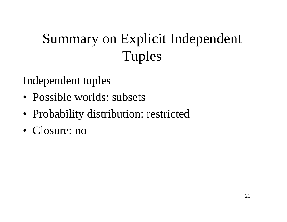## Summary on Explicit Independent Tuples

#### Independent tuples

- Possible worlds: subsets
- Probability distribution: restricted
- Closure: no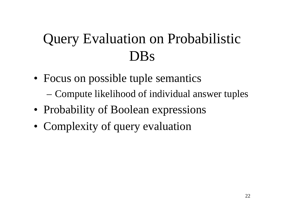#### Query Evaluation on Probabilistic DBs

- Focus on possible tuple semantics –Compute likelihood of individual answer tuples
- Probability of Boolean expressions
- Complexity of query evaluation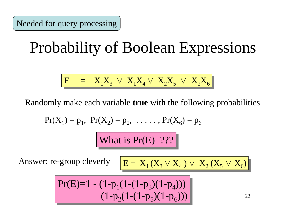## Probability of Boolean Expressions

$$
E = X_1 X_3 \vee X_1 X_4 \vee X_2 X_5 \vee X_2 X_6
$$

Randomly make each variable **true** with the following probabilities

$$
Pr(X_1) = p_1
$$
,  $Pr(X_2) = p_2$ , ...,  $Pr(X_6) = p_6$ 

What is  $Pr(E)$  ???

Answer: re-group cleverly

$$
E = X_1(X_3 \vee X_4) \vee X_2(X_5 \vee X_6)
$$

$$
Pr(E)=1 - (1-p_1(1-(1-p_3)(1-p_4)))
$$
  

$$
(1-p_2(1-(1-p_5)(1-p_6)))
$$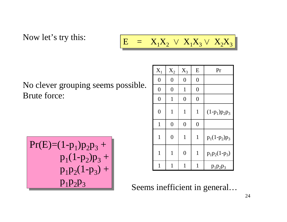Now let's try this:

$$
E = X_1 X_2 \vee X_1 X_3 \vee X_2 X_3
$$

No clever grouping seems possible. Brute force:

$$
Pr(E)=(1-p1)p2p3 + p1(1-p2)p3 + p1p2(1-p3) + p1p2p3
$$

| $\mathbf{X}_1$   | $\mathbf{X}_2$ | $X_3$            | E                | Pr              |
|------------------|----------------|------------------|------------------|-----------------|
| $\boldsymbol{0}$ | $\overline{0}$ | $\boldsymbol{0}$ | $\boldsymbol{0}$ |                 |
| $\overline{0}$   | $\overline{0}$ | $\mathbf{1}$     | $\overline{0}$   |                 |
| $\overline{0}$   | $\mathbf{1}$   | $\overline{0}$   | $\overline{0}$   |                 |
| $\overline{0}$   | 1              | $\mathbf{1}$     | $\mathbf{1}$     | $(1-p_1)p_2p_3$ |
| $\mathbf{1}$     | $\overline{0}$ | $\overline{0}$   | $\overline{0}$   |                 |
| 1                | $\overline{0}$ | $\mathbf{1}$     | $\mathbf{1}$     | $p_1(1-p_2)p_3$ |
| $\mathbf{1}$     | $\mathbf{1}$   | $\overline{0}$   | $\mathbf{1}$     | $p_1p_2(1-p_3)$ |
| 1                | $\mathbf{1}$   | 1                | 1                | $p_1p_2p_3$     |

Seems inefficient in general…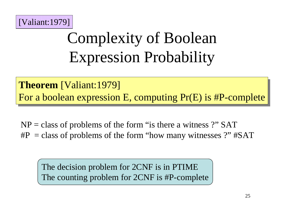

# Complexity of Boolean Expression Probability

**Theorem** [Valiant:1979] **Theorem** [Valiant:1979] For a boolean expression E, computing Pr(E) is #P-complete For a boolean expression E, computing Pr(E) is #P-complete

NP <sup>=</sup> class of problems of the form "is there <sup>a</sup> witness ?" SAT #P <sup>=</sup> class of problems of the form "how many witnesses ?" #SAT

The decision problem for 2CNF is in PTIME The counting problem for 2CNF is #P-complete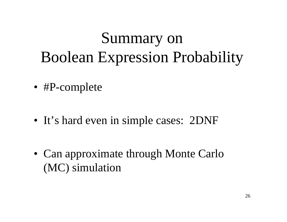# Summary on Boolean Expression Probability

- #P-complete
- It's hard even in simple cases: 2DNF
- Can approximate through Monte Carlo (MC) simulation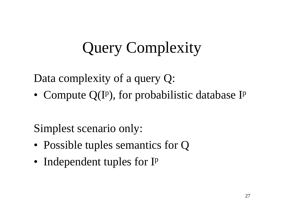# Query Complexity

Data complexity of <sup>a</sup> query Q:

• Compute  $Q(I^p)$ , for probabilistic database I<sup>p</sup>

Simplest scenario only:

- Possible tuples semantics for Q
- Independent tuples for I<sup>p</sup>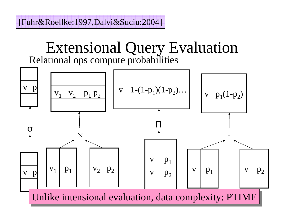[Fuhr&Roellke:1997,Dalvi&Suciu:2004]

#### Extensional Query Evaluation Relational ops compute probabilities

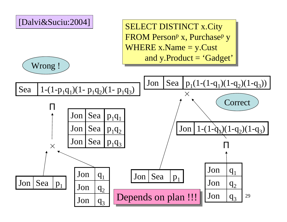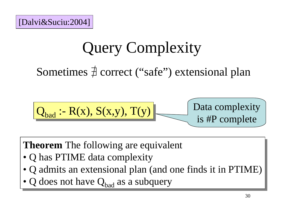## Query Complexity

Sometimes  $\frac{1}{4}$  correct ("safe") extensional plan

$$
\boxed{\mathbf{Q}_{bad} \cdot \mathbf{R}(x), S(x,y), T(y)}
$$
   
Data complexity  
is #P complete

**Theorem** The following are equivalent **Theorem** The following are equivalent

- Q has PTIME data complexity Q has PTIME data complexity
- Q admits an extensional plan (and one finds it in PTIME) Q admits an extensional plan (and one finds it in PTIME)
- Q does not have  $Q_{bad}$  as a subquery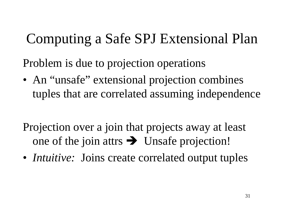#### Computing <sup>a</sup> Safe SPJ Extensional Plan

Problem is due to projection operations

- An "unsafe" extensional projection combines tuples that are correlated assuming independence
- Projection over <sup>a</sup> join that projects away at least one of the join attrs  $\rightarrow$  Unsafe projection!
- *Intuitive:* Joins create correlated output tuples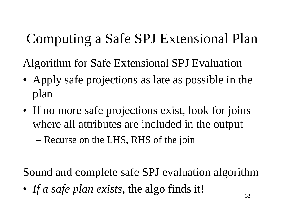#### Computing <sup>a</sup> Safe SPJ Extensional Plan

Algorithm for Safe Extensional SPJ Evaluation

- Apply safe projections as late as possible in the plan
- If no more safe projections exist, look for joins where all attributes are included in the output

–– Recurse on the LHS, RHS of the join

Sound and complete safe SPJ evaluation algorithm

• *If <sup>a</sup> safe plan exists*, the algo finds it!